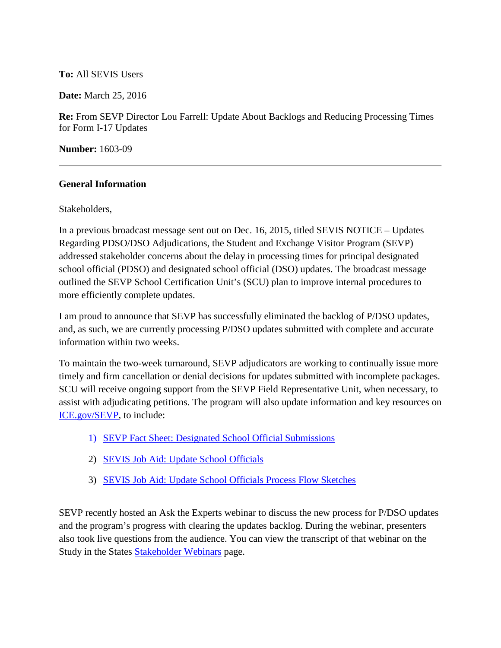## **To:** All SEVIS Users

**Date:** March 25, 2016

**Re:** From SEVP Director Lou Farrell: Update About Backlogs and Reducing Processing Times for Form I-17 Updates

**Number:** 1603-09

## **General Information**

Stakeholders,

In a previous broadcast message sent out on Dec. 16, 2015, titled SEVIS NOTICE – Updates Regarding PDSO/DSO Adjudications, the Student and Exchange Visitor Program (SEVP) addressed stakeholder concerns about the delay in processing times for principal designated school official (PDSO) and designated school official (DSO) updates. The broadcast message outlined the SEVP School Certification Unit's (SCU) plan to improve internal procedures to more efficiently complete updates.

I am proud to announce that SEVP has successfully eliminated the backlog of P/DSO updates, and, as such, we are currently processing P/DSO updates submitted with complete and accurate information within two weeks.

To maintain the two-week turnaround, SEVP adjudicators are working to continually issue more timely and firm cancellation or denial decisions for updates submitted with incomplete packages. SCU will receive ongoing support from the SEVP Field Representative Unit, when necessary, to assist with adjudicating petitions. The program will also update information and key resources on [ICE.gov/SEVP,](https://www.ice.gov/sevis) to include:

- 1) [SEVP Fact Sheet: Designated School Official Submissions](https://www.ice.gov/sites/default/files/documents/Fact%20sheet/2016/dsoUpdateProcessFactsheet.pdf)
- 2) [SEVIS Job Aid: Update School Officials](https://studyinthestates.dhs.gov/sites/default/files/Update%20School%20Officials%20Job%20Aid.pdf)
- 3) [SEVIS Job Aid: Update School Officials Process Flow Sketches](https://studyinthestates.dhs.gov/sites/default/files/Job%20Aid%20Update%20Officials%20Process%20Flow%20Sketch.pdf)

SEVP recently hosted an Ask the Experts webinar to discuss the new process for P/DSO updates and the program's progress with clearing the updates backlog. During the webinar, presenters also took live questions from the audience. You can view the transcript of that webinar on the Study in the States [Stakeholder Webinars](https://studyinthestates.dhs.gov/stakeholder-webinars) page.